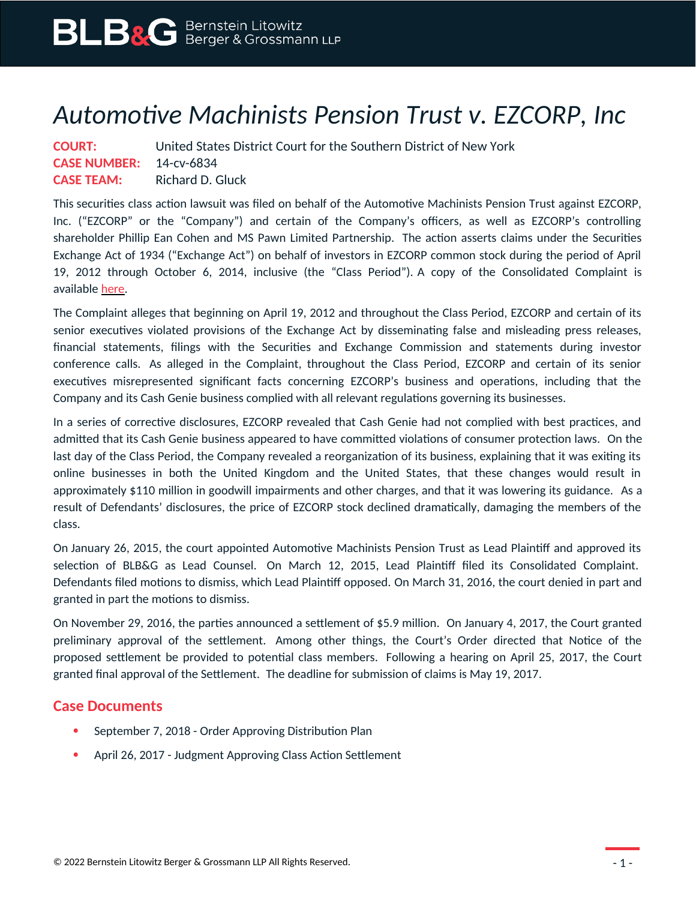## *Automotive Machinists Pension Trust v. EZCORP, Inc*

| <b>COURT:</b>                  | United States District Court for the Southern District of New York |
|--------------------------------|--------------------------------------------------------------------|
| <b>CASE NUMBER:</b> 14-cv-6834 |                                                                    |
| <b>CASE TEAM:</b>              | Richard D. Gluck                                                   |

This securities class action lawsuit was filed on behalf of the Automotive Machinists Pension Trust against EZCORP, Inc. ("EZCORP" or the "Company") and certain of the Company's officers, as well as EZCORP's controlling shareholder Phillip Ean Cohen and MS Pawn Limited Partnership. The action asserts claims under the Securities Exchange Act of 1934 ("Exchange Act") on behalf of investors in EZCORP common stock during the period of April 19, 2012 through October 6, 2014, inclusive (the "Class Period"). A copy of the Consolidated Complaint is available [here.](https://www.blbglaw.com/cases/00249/_res/id=Attachments/index=10/AMENDED%20Complaint%20As%20Filed.pdf)

The Complaint alleges that beginning on April 19, 2012 and throughout the Class Period, EZCORP and certain of its senior executives violated provisions of the Exchange Act by disseminating false and misleading press releases, financial statements, filings with the Securities and Exchange Commission and statements during investor conference calls. As alleged in the Complaint, throughout the Class Period, EZCORP and certain of its senior executives misrepresented significant facts concerning EZCORP's business and operations, including that the Company and its Cash Genie business complied with all relevant regulations governing its businesses.

In a series of corrective disclosures, EZCORP revealed that Cash Genie had not complied with best practices, and admitted that its Cash Genie business appeared to have committed violations of consumer protection laws. On the last day of the Class Period, the Company revealed a reorganization of its business, explaining that it was exiting its online businesses in both the United Kingdom and the United States, that these changes would result in approximately \$110 million in goodwill impairments and other charges, and that it was lowering its guidance. As a result of Defendants' disclosures, the price of EZCORP stock declined dramatically, damaging the members of the class.

On January 26, 2015, the court appointed Automotive Machinists Pension Trust as Lead Plaintiff and approved its selection of BLB&G as Lead Counsel. On March 12, 2015, Lead Plaintiff filed its Consolidated Complaint. Defendants filed motions to dismiss, which Lead Plaintiff opposed. On March 31, 2016, the court denied in part and granted in part the motions to dismiss.

On November 29, 2016, the parties announced a settlement of \$5.9 million. On January 4, 2017, the Court granted preliminary approval of the settlement. Among other things, the Court's Order directed that Notice of the proposed settlement be provided to potential class members. Following a hearing on April 25, 2017, the Court granted final approval of the Settlement. The deadline for submission of claims is May 19, 2017.

## **Case Documents**

- September 7, 2018 Order Approving Distribution Plan
- April 26, 2017 Judgment Approving Class Action Settlement